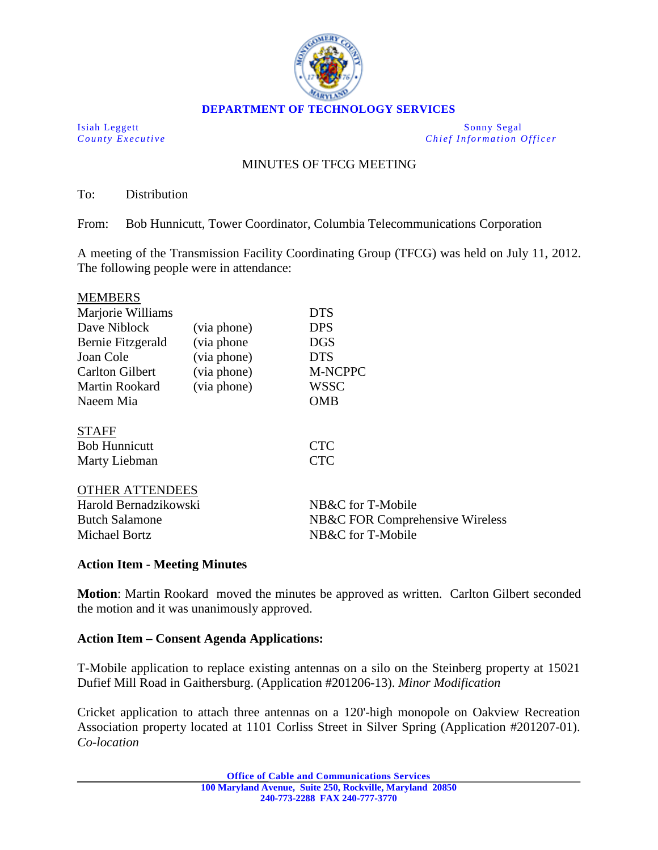

Isiah Leggett Sonny Segal *County Executive Chief Information Officer*

# MINUTES OF TFCG MEETING

To: Distribution

From: Bob Hunnicutt, Tower Coordinator, Columbia Telecommunications Corporation

A meeting of the Transmission Facility Coordinating Group (TFCG) was held on July 11, 2012. The following people were in attendance:

| <b>MEMBERS</b>         |             |                                 |
|------------------------|-------------|---------------------------------|
| Marjorie Williams      |             | <b>DTS</b>                      |
| Dave Niblock           | (via phone) | <b>DPS</b>                      |
| Bernie Fitzgerald      | (via phone) | DGS                             |
| Joan Cole              | (via phone) | <b>DTS</b>                      |
| <b>Carlton Gilbert</b> | (via phone) | <b>M-NCPPC</b>                  |
| Martin Rookard         | (via phone) | <b>WSSC</b>                     |
| Naeem Mia              |             | <b>OMB</b>                      |
| <b>STAFF</b>           |             |                                 |
| <b>Bob Hunnicutt</b>   |             | <b>CTC</b>                      |
| Marty Liebman          |             | <b>CTC</b>                      |
| <b>OTHER ATTENDEES</b> |             |                                 |
| Harold Bernadzikowski  |             | NB&C for T-Mobile               |
| <b>Butch Salamone</b>  |             | NB&C FOR Comprehensive Wireless |
| Michael Bortz          |             | NB&C for T-Mobile               |

## **Action Item - Meeting Minutes**

**Motion**: Martin Rookard moved the minutes be approved as written. Carlton Gilbert seconded the motion and it was unanimously approved.

## **Action Item – Consent Agenda Applications:**

T-Mobile application to replace existing antennas on a silo on the Steinberg property at 15021 Dufief Mill Road in Gaithersburg. (Application #201206-13). *Minor Modification*

Cricket application to attach three antennas on a 120'-high monopole on Oakview Recreation Association property located at 1101 Corliss Street in Silver Spring (Application #201207-01). *Co-location*